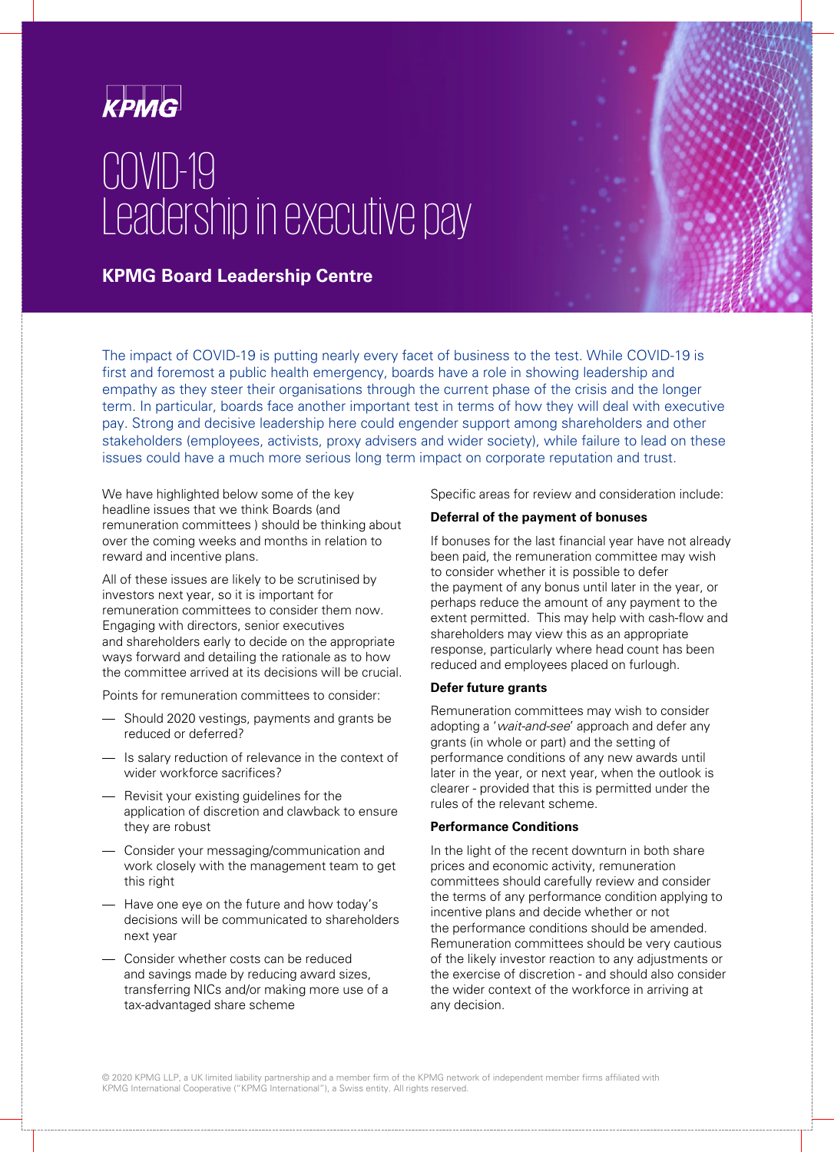

# COVID-19 Leadership in executive pay

# **KPMG Board Leadership Centre**

The impact of COVID-19 is putting nearly every facet of business to the test. While COVID-19 is first and foremost a public health emergency, boards have a role in showing leadership and empathy as they steer their organisations through the current phase of the crisis and the longer term. In particular, boards face another important test in terms of how they will deal with executive pay. Strong and decisive leadership here could engender support among shareholders and other stakeholders (employees, activists, proxy advisers and wider society), while failure to lead on these issues could have a much more serious long term impact on corporate reputation and trust.

We have highlighted below some of the key headline issues that we think Boards (and remuneration committees ) should be thinking about over the coming weeks and months in relation to reward and incentive plans.

All of these issues are likely to be scrutinised by investors next year, so it is important for remuneration committees to consider them now. Engaging with directors, senior executives and shareholders early to decide on the appropriate ways forward and detailing the rationale as to how the committee arrived at its decisions will be crucial.

Points for remuneration committees to consider:

- Should 2020 vestings, payments and grants be reduced or deferred?
- Is salary reduction of relevance in the context of wider workforce sacrifices?
- Revisit your existing guidelines for the application of discretion and clawback to ensure they are robust
- Consider your messaging/communication and work closely with the management team to get this right
- Have one eye on the future and how today's decisions will be communicated to shareholders next year
- Consider whether costs can be reduced and savings made by reducing award sizes, transferring NICs and/or making more use of a tax-advantaged share scheme

Specific areas for review and consideration include:

#### **Deferral of the payment of bonuses**

If bonuses for the last financial year have not already been paid, the remuneration committee may wish to consider whether it is possible to defer the payment of any bonus until later in the year, or perhaps reduce the amount of any payment to the extent permitted. This may help with cash-flow and shareholders may view this as an appropriate response, particularly where head count has been reduced and employees placed on furlough.

#### **Defer future grants**

Remuneration committees may wish to consider adopting a 'wait-and-see' approach and defer any grants (in whole or part) and the setting of performance conditions of any new awards until later in the year, or next year, when the outlook is clearer - provided that this is permitted under the rules of the relevant scheme.

#### **Performance Conditions**

In the light of the recent downturn in both share prices and economic activity, remuneration committees should carefully review and consider the terms of any performance condition applying to incentive plans and decide whether or not the performance conditions should be amended. Remuneration committees should be very cautious of the likely investor reaction to any adjustments or the exercise of discretion - and should also consider the wider context of the workforce in arriving at any decision.